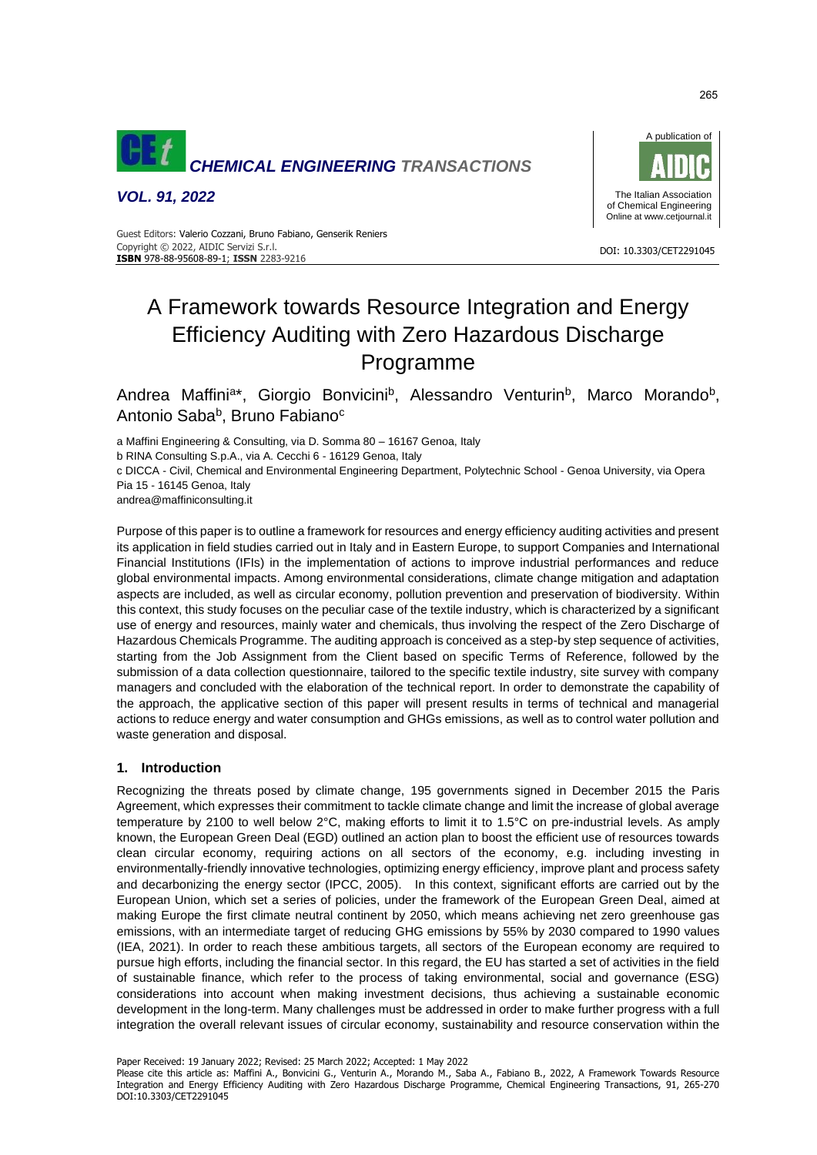

*VOL. 91, 2022*



DOI: 10.3303/CET2291045

 Copyright © 2022, AIDIC Servizi S.r.l. Guest Editors: Valerio Cozzani, Bruno Fabiano, Genserik Reniers **ISBN** 978-88-95608-89-1; **ISSN** 2283-9216

# A Framework towards Resource Integration and Energy Efficiency Auditing with Zero Hazardous Discharge Programme

Andrea Maffini<sup>a\*</sup>, Giorgio Bonvicini<sup>b</sup>, Alessandro Venturin<sup>b</sup>, Marco Morando<sup>b</sup>, Antonio Saba<sup>b</sup>, Bruno Fabiano<sup>c</sup>

a Maffini Engineering & Consulting, via D. Somma 80 – 16167 Genoa, Italy

b RINA Consulting S.p.A., via A. Cecchi 6 - 16129 Genoa, Italy

c DICCA - Civil, Chemical and Environmental Engineering Department, Polytechnic School - Genoa University, via Opera Pia 15 - 16145 Genoa, Italy

andrea@maffiniconsulting.it

Purpose of this paper is to outline a framework for resources and energy efficiency auditing activities and present its application in field studies carried out in Italy and in Eastern Europe, to support Companies and International Financial Institutions (IFIs) in the implementation of actions to improve industrial performances and reduce global environmental impacts. Among environmental considerations, climate change mitigation and adaptation aspects are included, as well as circular economy, pollution prevention and preservation of biodiversity. Within this context, this study focuses on the peculiar case of the textile industry, which is characterized by a significant use of energy and resources, mainly water and chemicals, thus involving the respect of the Zero Discharge of Hazardous Chemicals Programme. The auditing approach is conceived as a step-by step sequence of activities, starting from the Job Assignment from the Client based on specific Terms of Reference, followed by the submission of a data collection questionnaire, tailored to the specific textile industry, site survey with company managers and concluded with the elaboration of the technical report. In order to demonstrate the capability of the approach, the applicative section of this paper will present results in terms of technical and managerial actions to reduce energy and water consumption and GHGs emissions, as well as to control water pollution and waste generation and disposal.

# **1. Introduction**

Recognizing the threats posed by climate change, 195 governments signed in December 2015 the Paris Agreement, which expresses their commitment to tackle climate change and limit the increase of global average temperature by 2100 to well below 2°C, making efforts to limit it to 1.5°C on pre-industrial levels. As amply known, the European Green Deal (EGD) outlined an action plan to boost the efficient use of resources towards clean circular economy, requiring actions on all sectors of the economy, e.g. including investing in environmentally-friendly innovative technologies, optimizing energy efficiency, improve plant and process safety and decarbonizing the energy sector (IPCC, 2005). In this context, significant efforts are carried out by the European Union, which set a series of policies, under the framework of the European Green Deal, aimed at making Europe the first climate neutral continent by 2050, which means achieving net zero greenhouse gas emissions, with an intermediate target of reducing GHG emissions by 55% by 2030 compared to 1990 values (IEA, 2021). In order to reach these ambitious targets, all sectors of the European economy are required to pursue high efforts, including the financial sector. In this regard, the EU has started a set of activities in the field of sustainable finance, which refer to the process of taking environmental, social and governance (ESG) considerations into account when making investment decisions, thus achieving a sustainable economic development in the long-term. Many challenges must be addressed in order to make further progress with a full integration the overall relevant issues of circular economy, sustainability and resource conservation within the

Paper Received: 19 January 2022; Revised: 25 March 2022; Accepted: 1 May 2022

Please cite this article as: Maffini A., Bonvicini G., Venturin A., Morando M., Saba A., Fabiano B., 2022, A Framework Towards Resource Integration and Energy Efficiency Auditing with Zero Hazardous Discharge Programme, Chemical Engineering Transactions, 91, 265-270 DOI:10.3303/CET2291045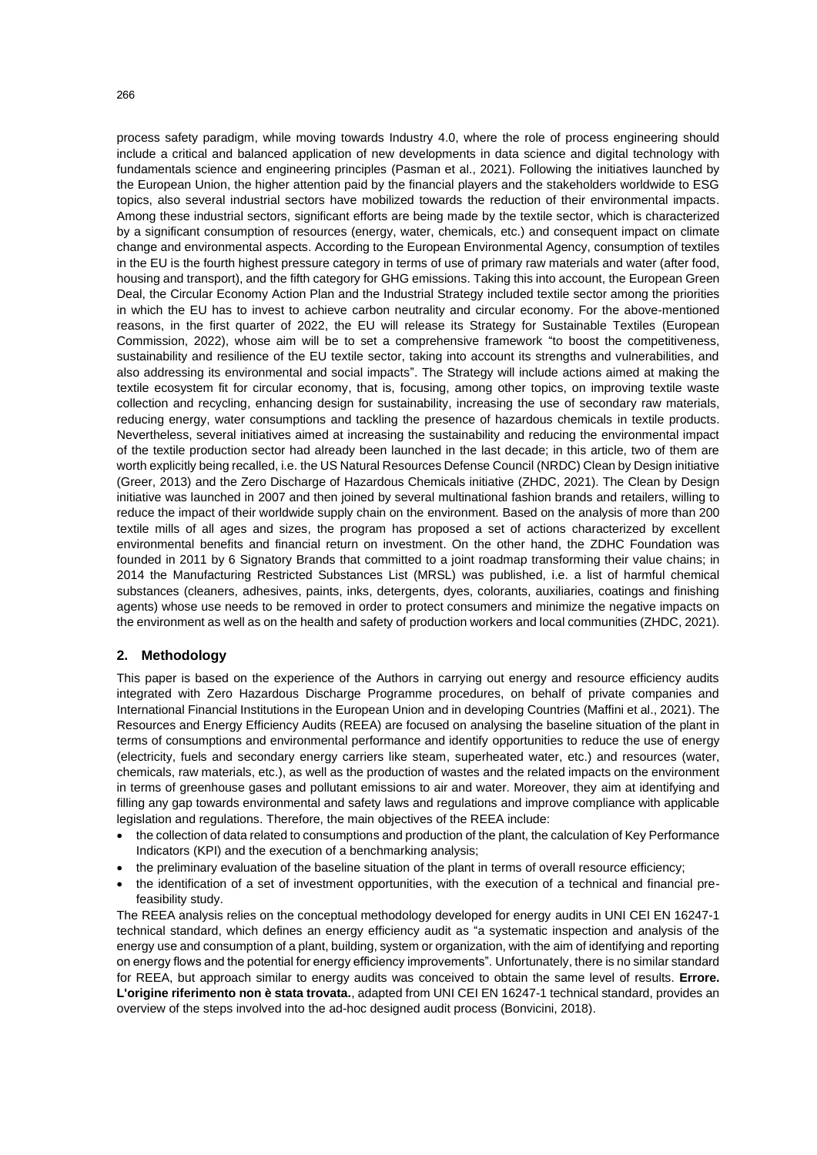process safety paradigm, while moving towards Industry 4.0, where the role of process engineering should include a critical and balanced application of new developments in data science and digital technology with fundamentals science and engineering principles (Pasman et al., 2021). Following the initiatives launched by the European Union, the higher attention paid by the financial players and the stakeholders worldwide to ESG topics, also several industrial sectors have mobilized towards the reduction of their environmental impacts. Among these industrial sectors, significant efforts are being made by the textile sector, which is characterized by a significant consumption of resources (energy, water, chemicals, etc.) and consequent impact on climate change and environmental aspects. According to the European Environmental Agency, consumption of textiles in the EU is the fourth highest pressure category in terms of use of primary raw materials and water (after food, housing and transport), and the fifth category for GHG emissions. Taking this into account, the European Green Deal, the Circular Economy Action Plan and the Industrial Strategy included textile sector among the priorities in which the EU has to invest to achieve carbon neutrality and circular economy. For the above-mentioned reasons, in the first quarter of 2022, the EU will release its Strategy for Sustainable Textiles (European Commission, 2022), whose aim will be to set a comprehensive framework "to boost the competitiveness, sustainability and resilience of the EU textile sector, taking into account its strengths and vulnerabilities, and also addressing its environmental and social impacts". The Strategy will include actions aimed at making the textile ecosystem fit for circular economy, that is, focusing, among other topics, on improving textile waste collection and recycling, enhancing design for sustainability, increasing the use of secondary raw materials, reducing energy, water consumptions and tackling the presence of hazardous chemicals in textile products. Nevertheless, several initiatives aimed at increasing the sustainability and reducing the environmental impact of the textile production sector had already been launched in the last decade; in this article, two of them are worth explicitly being recalled, i.e. the US Natural Resources Defense Council (NRDC) Clean by Design initiative (Greer, 2013) and the Zero Discharge of Hazardous Chemicals initiative (ZHDC, 2021). The Clean by Design initiative was launched in 2007 and then joined by several multinational fashion brands and retailers, willing to reduce the impact of their worldwide supply chain on the environment. Based on the analysis of more than 200 textile mills of all ages and sizes, the program has proposed a set of actions characterized by excellent environmental benefits and financial return on investment. On the other hand, the ZDHC Foundation was founded in 2011 by 6 Signatory Brands that committed to a joint roadmap transforming their value chains; in 2014 the Manufacturing Restricted Substances List (MRSL) was published, i.e. a list of harmful chemical substances (cleaners, adhesives, paints, inks, detergents, dyes, colorants, auxiliaries, coatings and finishing agents) whose use needs to be removed in order to protect consumers and minimize the negative impacts on the environment as well as on the health and safety of production workers and local communities (ZHDC, 2021).

## **2. Methodology**

This paper is based on the experience of the Authors in carrying out energy and resource efficiency audits integrated with Zero Hazardous Discharge Programme procedures, on behalf of private companies and International Financial Institutions in the European Union and in developing Countries (Maffini et al., 2021). The Resources and Energy Efficiency Audits (REEA) are focused on analysing the baseline situation of the plant in terms of consumptions and environmental performance and identify opportunities to reduce the use of energy (electricity, fuels and secondary energy carriers like steam, superheated water, etc.) and resources (water, chemicals, raw materials, etc.), as well as the production of wastes and the related impacts on the environment in terms of greenhouse gases and pollutant emissions to air and water. Moreover, they aim at identifying and filling any gap towards environmental and safety laws and regulations and improve compliance with applicable legislation and regulations. Therefore, the main objectives of the REEA include:

- the collection of data related to consumptions and production of the plant, the calculation of Key Performance Indicators (KPI) and the execution of a benchmarking analysis;
- the preliminary evaluation of the baseline situation of the plant in terms of overall resource efficiency;
- the identification of a set of investment opportunities, with the execution of a technical and financial prefeasibility study.

The REEA analysis relies on the conceptual methodology developed for energy audits in UNI CEI EN 16247-1 technical standard, which defines an energy efficiency audit as "a systematic inspection and analysis of the energy use and consumption of a plant, building, system or organization, with the aim of identifying and reporting on energy flows and the potential for energy efficiency improvements". Unfortunately, there is no similar standard for REEA, but approach similar to energy audits was conceived to obtain the same level of results. **Errore. L'origine riferimento non è stata trovata.**, adapted from UNI CEI EN 16247-1 technical standard, provides an overview of the steps involved into the ad-hoc designed audit process (Bonvicini, 2018).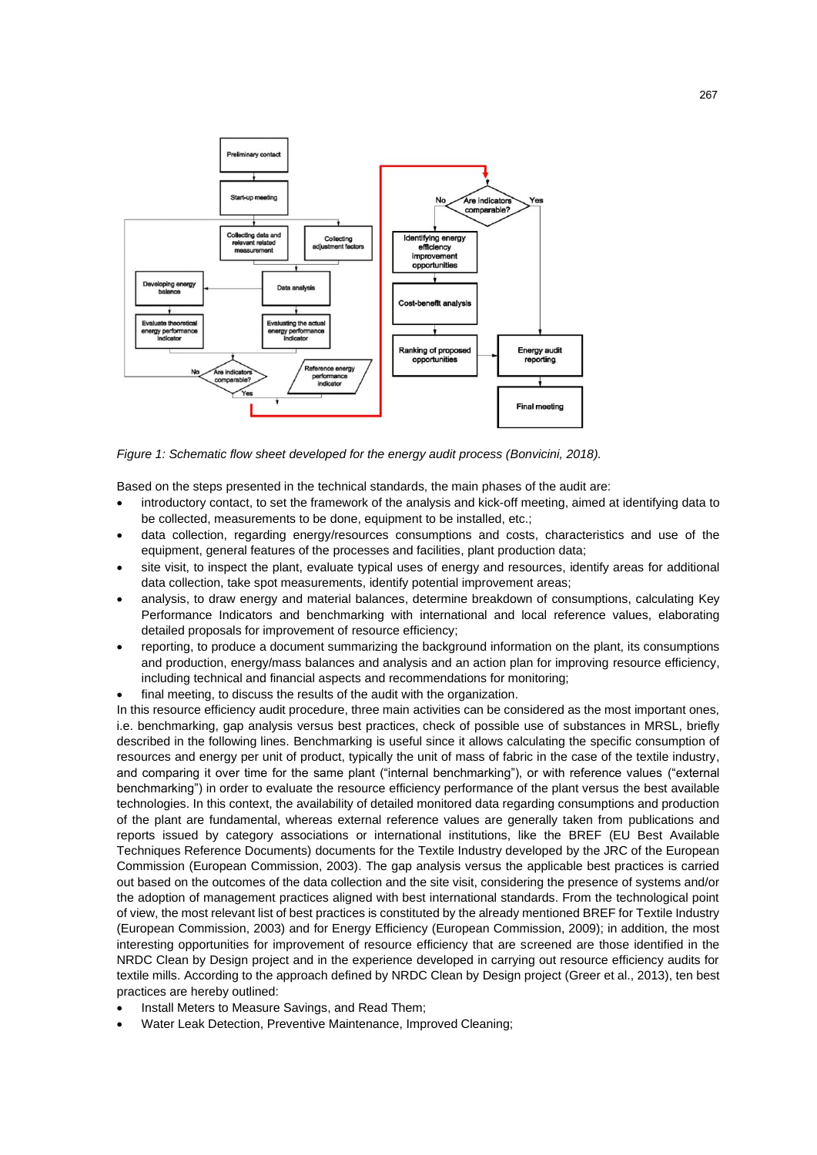

*Figure 1: Schematic flow sheet developed for the energy audit process (Bonvicini, 2018).*

Based on the steps presented in the technical standards, the main phases of the audit are:

- introductory contact, to set the framework of the analysis and kick-off meeting, aimed at identifying data to be collected, measurements to be done, equipment to be installed, etc.;
- data collection, regarding energy/resources consumptions and costs, characteristics and use of the equipment, general features of the processes and facilities, plant production data;
- site visit, to inspect the plant, evaluate typical uses of energy and resources, identify areas for additional data collection, take spot measurements, identify potential improvement areas;
- analysis, to draw energy and material balances, determine breakdown of consumptions, calculating Key Performance Indicators and benchmarking with international and local reference values, elaborating detailed proposals for improvement of resource efficiency;
- reporting, to produce a document summarizing the background information on the plant, its consumptions and production, energy/mass balances and analysis and an action plan for improving resource efficiency, including technical and financial aspects and recommendations for monitoring;
- final meeting, to discuss the results of the audit with the organization.

In this resource efficiency audit procedure, three main activities can be considered as the most important ones, i.e. benchmarking, gap analysis versus best practices, check of possible use of substances in MRSL, briefly described in the following lines. Benchmarking is useful since it allows calculating the specific consumption of resources and energy per unit of product, typically the unit of mass of fabric in the case of the textile industry, and comparing it over time for the same plant ("internal benchmarking"), or with reference values ("external benchmarking") in order to evaluate the resource efficiency performance of the plant versus the best available technologies. In this context, the availability of detailed monitored data regarding consumptions and production of the plant are fundamental, whereas external reference values are generally taken from publications and reports issued by category associations or international institutions, like the BREF (EU Best Available Techniques Reference Documents) documents for the Textile Industry developed by the JRC of the European Commission (European Commission, 2003). The gap analysis versus the applicable best practices is carried out based on the outcomes of the data collection and the site visit, considering the presence of systems and/or the adoption of management practices aligned with best international standards. From the technological point of view, the most relevant list of best practices is constituted by the already mentioned BREF for Textile Industry (European Commission, 2003) and for Energy Efficiency (European Commission, 2009); in addition, the most interesting opportunities for improvement of resource efficiency that are screened are those identified in the NRDC Clean by Design project and in the experience developed in carrying out resource efficiency audits for textile mills. According to the approach defined by NRDC Clean by Design project (Greer et al., 2013), ten best practices are hereby outlined:

- Install Meters to Measure Savings, and Read Them;
- Water Leak Detection, Preventive Maintenance, Improved Cleaning;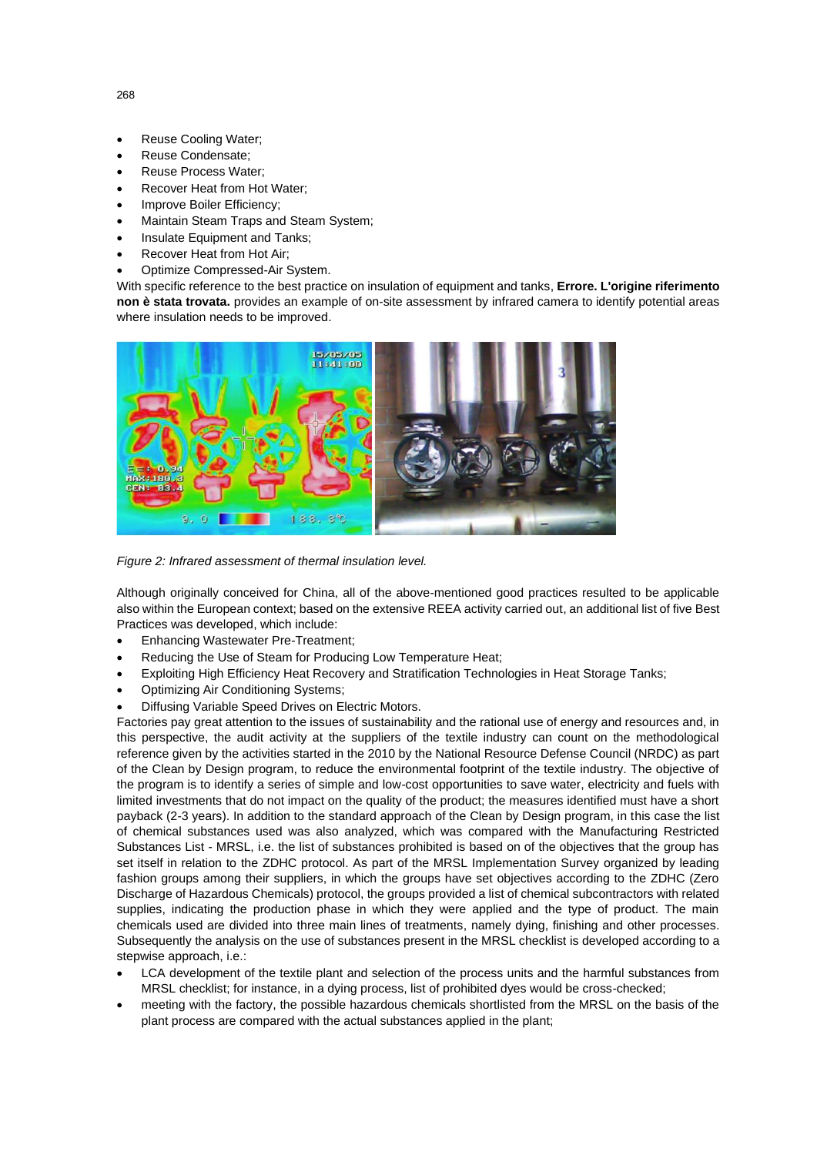- Reuse Cooling Water:
- Reuse Condensate;
- Reuse Process Water;
- Recover Heat from Hot Water:
- Improve Boiler Efficiency:
- Maintain Steam Traps and Steam System;
- Insulate Equipment and Tanks:
- Recover Heat from Hot Air;
- Optimize Compressed-Air System.

With specific reference to the best practice on insulation of equipment and tanks, **Errore. L'origine riferimento non è stata trovata.** provides an example of on-site assessment by infrared camera to identify potential areas where insulation needs to be improved.



*Figure 2: Infrared assessment of thermal insulation level.*

Although originally conceived for China, all of the above-mentioned good practices resulted to be applicable also within the European context; based on the extensive REEA activity carried out, an additional list of five Best Practices was developed, which include:

- Enhancing Wastewater Pre-Treatment;
- Reducing the Use of Steam for Producing Low Temperature Heat;
- Exploiting High Efficiency Heat Recovery and Stratification Technologies in Heat Storage Tanks;
- Optimizing Air Conditioning Systems;
- Diffusing Variable Speed Drives on Electric Motors.

Factories pay great attention to the issues of sustainability and the rational use of energy and resources and, in this perspective, the audit activity at the suppliers of the textile industry can count on the methodological reference given by the activities started in the 2010 by the National Resource Defense Council (NRDC) as part of the Clean by Design program, to reduce the environmental footprint of the textile industry. The objective of the program is to identify a series of simple and low-cost opportunities to save water, electricity and fuels with limited investments that do not impact on the quality of the product; the measures identified must have a short payback (2-3 years). In addition to the standard approach of the Clean by Design program, in this case the list of chemical substances used was also analyzed, which was compared with the Manufacturing Restricted Substances List - MRSL, i.e. the list of substances prohibited is based on of the objectives that the group has set itself in relation to the ZDHC protocol. As part of the MRSL Implementation Survey organized by leading fashion groups among their suppliers, in which the groups have set objectives according to the ZDHC (Zero Discharge of Hazardous Chemicals) protocol, the groups provided a list of chemical subcontractors with related supplies, indicating the production phase in which they were applied and the type of product. The main chemicals used are divided into three main lines of treatments, namely dying, finishing and other processes. Subsequently the analysis on the use of substances present in the MRSL checklist is developed according to a stepwise approach, i.e.:

- LCA development of the textile plant and selection of the process units and the harmful substances from MRSL checklist; for instance, in a dying process, list of prohibited dyes would be cross-checked;
- meeting with the factory, the possible hazardous chemicals shortlisted from the MRSL on the basis of the plant process are compared with the actual substances applied in the plant;

268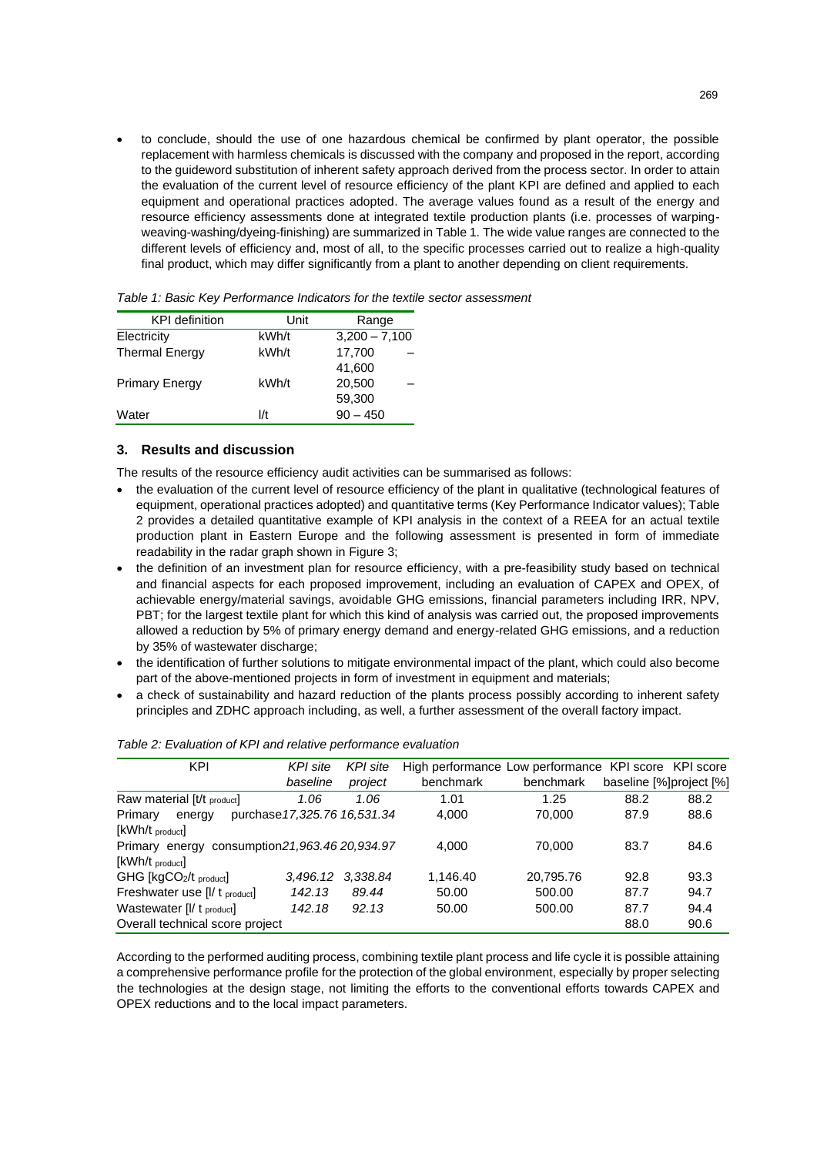• to conclude, should the use of one hazardous chemical be confirmed by plant operator, the possible replacement with harmless chemicals is discussed with the company and proposed in the report, according to the guideword substitution of inherent safety approach derived from the process sector. In order to attain the evaluation of the current level of resource efficiency of the plant KPI are defined and applied to each equipment and operational practices adopted. The average values found as a result of the energy and resource efficiency assessments done at integrated textile production plants (i.e. processes of warpingweaving-washing/dyeing-finishing) are summarized in Table 1. The wide value ranges are connected to the different levels of efficiency and, most of all, to the specific processes carried out to realize a high-quality final product, which may differ significantly from a plant to another depending on client requirements.

| <b>KPI</b> definition | Unit  | Range           |  |  |
|-----------------------|-------|-----------------|--|--|
| Electricity           | kWh/t | $3,200 - 7,100$ |  |  |
| <b>Thermal Energy</b> | kWh/t | 17,700          |  |  |
|                       |       | 41,600          |  |  |
| <b>Primary Energy</b> | kWh/t | 20,500          |  |  |
|                       |       | 59,300          |  |  |
| Water                 | l/t   | $90 - 450$      |  |  |

## **3. Results and discussion**

The results of the resource efficiency audit activities can be summarised as follows:

- the evaluation of the current level of resource efficiency of the plant in qualitative (technological features of equipment, operational practices adopted) and quantitative terms (Key Performance Indicator values); Table 2 provides a detailed quantitative example of KPI analysis in the context of a REEA for an actual textile production plant in Eastern Europe and the following assessment is presented in form of immediate readability in the radar graph shown in Figure 3;
- the definition of an investment plan for resource efficiency, with a pre-feasibility study based on technical and financial aspects for each proposed improvement, including an evaluation of CAPEX and OPEX, of achievable energy/material savings, avoidable GHG emissions, financial parameters including IRR, NPV, PBT; for the largest textile plant for which this kind of analysis was carried out, the proposed improvements allowed a reduction by 5% of primary energy demand and energy-related GHG emissions, and a reduction by 35% of wastewater discharge;
- the identification of further solutions to mitigate environmental impact of the plant, which could also become part of the above-mentioned projects in form of investment in equipment and materials;
- a check of sustainability and hazard reduction of the plants process possibly according to inherent safety principles and ZDHC approach including, as well, a further assessment of the overall factory impact.

| KPI                                               | KPI site                     | KPI site | High performance Low performance KPI score KPI score |           |                         |      |
|---------------------------------------------------|------------------------------|----------|------------------------------------------------------|-----------|-------------------------|------|
|                                                   | baseline                     | project  | benchmark                                            | benchmark | baseline [%]project [%] |      |
| Raw material [t/t product]                        | 1.06                         | 1.06     | 1.01                                                 | 1.25      | 88.2                    | 88.2 |
| Primary<br>energy                                 | purchase 17,325.76 16,531.34 |          | 4,000                                                | 70,000    | 87.9                    | 88.6 |
| [kWh/t product]                                   |                              |          |                                                      |           |                         |      |
| consumption 21,963.46 20,934.97<br>Primary energy |                              |          | 4.000                                                | 70.000    | 83.7                    | 84.6 |
| $[KWh/t$ $_{product}]$                            |                              |          |                                                      |           |                         |      |
| GHG [kgCO2/t product]                             | 3,496.12                     | 3.338.84 | 1.146.40                                             | 20,795.76 | 92.8                    | 93.3 |
| Freshwater use [I/ t product]                     | 142.13                       | 89.44    | 50.00                                                | 500.00    | 87.7                    | 94.7 |
| Wastewater [I/ t product]                         | 142.18                       | 92.13    | 50.00                                                | 500.00    | 87.7                    | 94.4 |
| Overall technical score project                   |                              |          |                                                      |           | 88.0                    | 90.6 |
|                                                   |                              |          |                                                      |           |                         |      |

#### *Table 2: Evaluation of KPI and relative performance evaluation*

According to the performed auditing process, combining textile plant process and life cycle it is possible attaining a comprehensive performance profile for the protection of the global environment, especially by proper selecting the technologies at the design stage, not limiting the efforts to the conventional efforts towards CAPEX and OPEX reductions and to the local impact parameters.